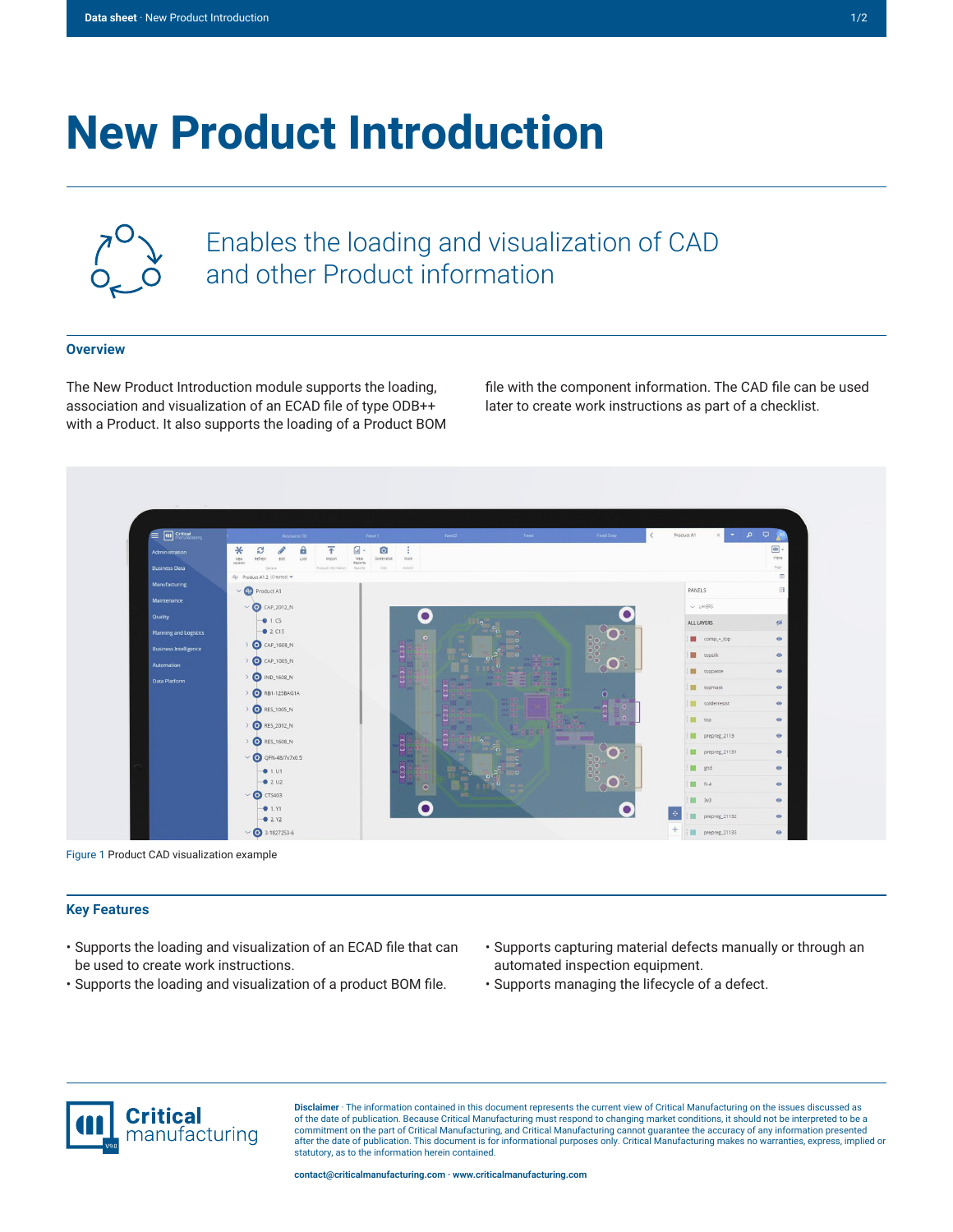# **New Product Introduction**



Enables the loading and visualization of CAD and other Product information

#### **Overview**

The New Product Introduction module supports the loading, association and visualization of an ECAD file of type ODB++ with a Product. It also supports the loading of a Product BOM

file with the component information. The CAD file can be used later to create work instructions as part of a checklist.



Figure 1 Product CAD visualization example

#### **Key Features**

- Supports the loading and visualization of an ECAD file that can be used to create work instructions.
- Supports the loading and visualization of a product BOM file.
- Supports capturing material defects manually or through an automated inspection equipment.
- Supports managing the lifecycle of a defect.



**Disclaimer** · The information contained in this document represents the current view of Critical Manufacturing on the issues discussed as of the date of publication. Because Critical Manufacturing must respond to changing market conditions, it should not be interpreted to be a commitment on the part of Critical Manufacturing, and Critical Manufacturing cannot guarantee the accuracy of any information presented after the date of publication. This document is for informational purposes only. Critical Manufacturing makes no warranties, express, implied or statutory, as to the information herein contained.